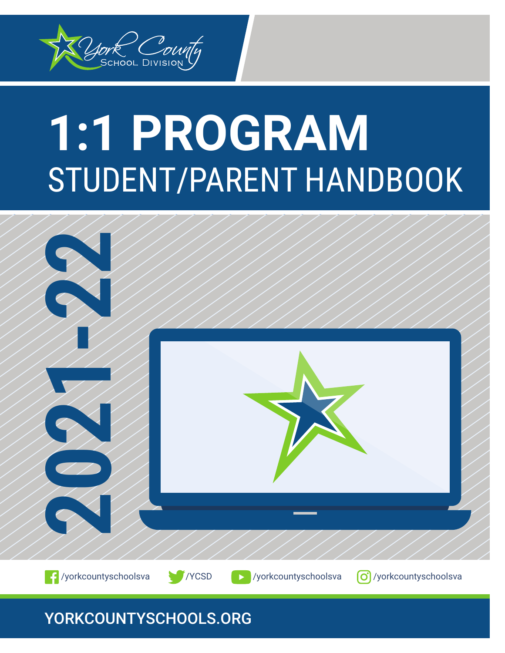

# **1:1 PROGRAM** STUDENT/PARENT HANDBOOK



YORKCOUNTYSCHOOLS.ORG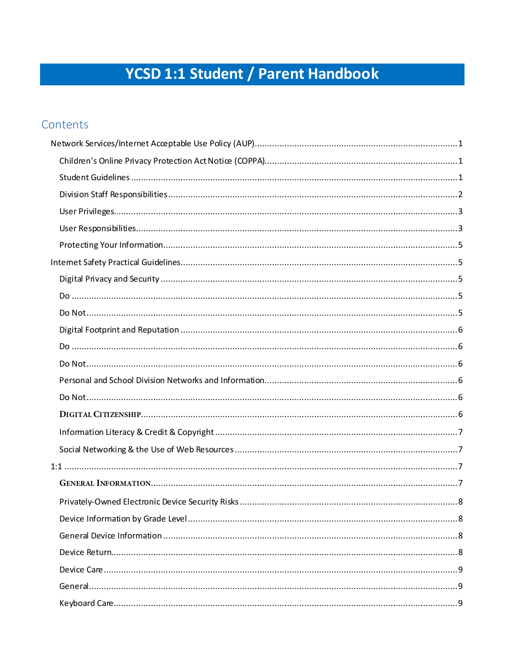# YCSD 1:1 Student / Parent Handbook

#### Contents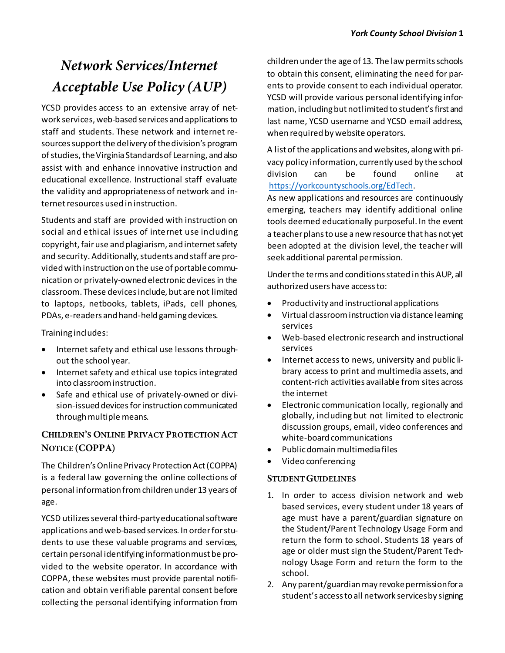## <span id="page-3-0"></span>*Network Services/Internet Acceptable Use Policy (AUP)*

YCSD provides access to an extensive array of network services, web-based services and applications to staff and students. These network and internet resources support the delivery of the division's program of studies, the Virginia Standards of Learning, and also assist with and enhance innovative instruction and educational excellence. Instructional staff evaluate the validity and appropriateness of network and internet resources used in instruction.

Students and staff are provided with instruction on social and ethical issues of internet use including copyright, fair use and plagiarism, and internet safety and security. Additionally, students and staff are provided with instruction on the use of portable communication or privately-owned electronic devices in the classroom. These devices include, but are not limited to laptops, netbooks, tablets, iPads, cell phones, PDAs, e-readers and hand-held gaming devices.

Training includes:

- Internet safety and ethical use lessons throughout the school year.
- Internet safety and ethical use topics integrated into classroom instruction.
- Safe and ethical use of privately-owned or division-issued devices for instruction communicated through multiple means.

#### <span id="page-3-1"></span>**CHILDREN'S ONLINE PRIVACY PROTECTION ACT NOTICE (COPPA)**

The Children's Online Privacy Protection Act (COPPA) is a federal law governing the online collections of personal information from children under 13 years of age.

YCSD utilizes several third-party educational software applications and web-based services. In order for students to use these valuable programs and services, certain personal identifying information must be provided to the website operator. In accordance with COPPA, these websites must provide parental notification and obtain verifiable parental consent before collecting the personal identifying information from

children under the age of 13. The law permits schools to obtain this consent, eliminating the need for parents to provide consent to each individual operator. YCSD will provide various personal identifying information, including but not limited to student's first and last name, YCSD username and YCSD email address, when required by website operators.

A list of the applications and websites, along with privacy policy information, currently used by the school division can be found online at [https://yorkcountyschools.org/EdTech](https://nam02.safelinks.protection.outlook.com/?url=https%3A%2F%2Fyorkcountyschools.org%2FEdTech&data=04%7C01%7Ckcagle%40ycsd.york.va.us%7C371dca01a05b43ee7ce608d8f381a27f%7C1de098ab3c8744c6afb7f70c62c23c1c%7C0%7C0%7C637527085394468521%7CUnknown%7CTWFpbGZsb3d8eyJWIjoiMC4wLjAwMDAiLCJQIjoiV2luMzIiLCJBTiI6Ik1haWwiLCJXVCI6Mn0%3D%7C1000&sdata=YkQp%2Bt00%2Fzv%2FHEjtKaBQVNtfivYi20ItDuWrnkaTciw%3D&reserved=0).

As new applications and resources are continuously emerging, teachers may identify additional online tools deemed educationally purposeful. In the event a teacher plans to use a new resource that has not yet been adopted at the division level, the teacher will seek additional parental permission.

Under the terms and conditions stated in this AUP, all authorized users have access to:

- Productivity and instructional applications
- Virtual classroom instruction via distance learning services
- Web-based electronic research and instructional services
- Internet access to news, university and public library access to print and multimedia assets, and content-rich activities available from sites across the internet
- Electronic communication locally, regionally and globally, including but not limited to electronic discussion groups, email, video conferences and white-board communications
- Public domain multimedia files
- Video conferencing

#### <span id="page-3-2"></span>**STUDENT GUIDELINES**

- 1. In order to access division network and web based services, every student under 18 years of age must have a parent/guardian signature on the Student/Parent Technology Usage Form and return the form to school. Students 18 years of age or older must sign the Student/Parent Technology Usage Form and return the form to the school.
- 2. Any parent/guardian may revoke permission for a student's access to all network services by signing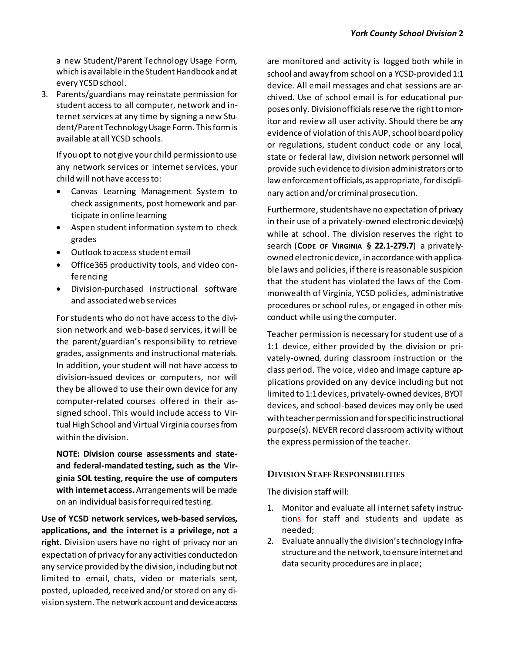a new Student/Parent Technology Usage Form, which is available in the Student Handbook and at every YCSD school.

3. Parents/guardians may reinstate permission for student access to all computer, network and internet services at any time by signing a new Student/Parent Technology Usage Form. This form is available at all YCSD schools.

If you opt to not give your child permission to use any network services or internet services, your child will not have access to:

- Canvas Learning Management System to check assignments, post homework and participate in online learning
- Aspen student information system to check grades
- Outlook to access student email
- Office365 productivity tools, and video conferencing
- Division-purchased instructional software and associated web services

For students who do not have access to the division network and web-based services, it will be the parent/guardian's responsibility to retrieve grades, assignments and instructional materials. In addition, your student will not have access to division-issued devices or computers, nor will they be allowed to use their own device for any computer-related courses offered in their assigned school. This would include access to Virtual High School and Virtual Virginia courses from within the division.

**NOTE: Division course assessments and stateand federal-mandated testing, such as the Virginia SOL testing, require the use of computers with internet access.**Arrangements will be made on an individual basis for required testing.

**Use of YCSD network services, web-based services, applications, and the internet is a privilege, not a right.** Division users have no right of privacy nor an expectation of privacy for any activities conducted on any service provided by the division, including but not limited to email, chats, video or materials sent, posted, uploaded, received and/or stored on any division system. The network account and device access

are monitored and activity is logged both while in school and away from school on a YCSD-provided 1:1 device. All email messages and chat sessions are archived. Use of school email is for educational purposes only. Division officials reserve the right to monitor and review all user activity. Should there be any evidence of violation of this AUP, school board policy or regulations, student conduct code or any local, state or federal law, division network personnel will provide such evidence to division administrators or to law enforcement officials, as appropriate, for disciplinary action and/or criminal prosecution.

Furthermore, students have no expectation of privacy in their use of a privately-owned electronic device(s) while at school. The division reserves the right to search (**CODE OF VIRGINIA § 22.1-279.7**) a privatelyowned electronic device, in accordance with applicable laws and policies, if there is reasonable suspicion that the student has violated the laws of the Commonwealth of Virginia, YCSD policies, administrative procedures or school rules, or engaged in other misconduct while using the computer.

Teacher permission is necessary for student use of a 1:1 device, either provided by the division or privately-owned, during classroom instruction or the class period. The voice, video and image capture applications provided on any device including but not limited to 1:1 devices, privately-owned devices, BYOT devices, and school-based devices may only be used with teacher permission and for specific instructional purpose(s).NEVER record classroom activity without the express permission of the teacher.

#### <span id="page-4-0"></span>**DIVISION STAFF RESPONSIBILITIES**

The division staff will:

- 1. Monitor and evaluate all internet safety instructions for staff and students and update as needed;
- 2. Evaluate annually the division's technology infrastructure and the network, to ensure internet and data security procedures are in place;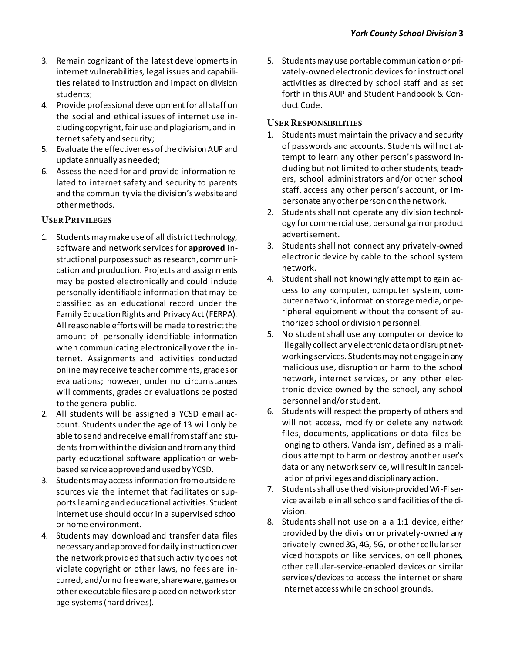- 3. Remain cognizant of the latest developments in internet vulnerabilities, legal issues and capabilities related to instruction and impact on division students;
- 4. Provide professional development for all staff on the social and ethical issues of internet use including copyright, fair use and plagiarism, and internet safety and security;
- 5. Evaluate the effectiveness of the division AUP and update annually as needed;
- 6. Assess the need for and provide information related to internet safety and security to parents and the community via the division's website and other methods.

#### <span id="page-5-0"></span>**USER PRIVILEGES**

- 1. Students may make use of all district technology, software and network services for **approved** instructional purposes such as research, communication and production. Projects and assignments may be posted electronically and could include personally identifiable information that may be classified as an educational record under the Family Education Rights and Privacy Act (FERPA). All reasonable efforts will be made to restrict the amount of personally identifiable information when communicating electronically over the internet. Assignments and activities conducted online may receive teacher comments, grades or evaluations; however, under no circumstances will comments, grades or evaluations be posted to the general public.
- 2. All students will be assigned a YCSD email account. Students under the age of 13 will only be able to send and receive email from staff and students from within the division and from any thirdparty educational software application or webbased service approved and used by YCSD.
- 3. Students may access information from outside resources via the internet that facilitates or supports learning and educational activities. Student internet use should occur in a supervised school or home environment.
- 4. Students may download and transfer data files necessary and approved for daily instruction over the network provided that such activity does not violate copyright or other laws, no fees are incurred, and/or no freeware, shareware, games or other executable files are placed on network storage systems (hard drives).

5. Students may use portable communication or privately-owned electronic devices for instructional activities as directed by school staff and as set forth in this AUP and Student Handbook & Conduct Code.

#### <span id="page-5-1"></span>**USER RESPONSIBILITIES**

- 1. Students must maintain the privacy and security of passwords and accounts. Students will not attempt to learn any other person's password including but not limited to other students, teachers, school administrators and/or other school staff, access any other person's account, or impersonate any other person on the network.
- 2. Students shall not operate any division technology for commercial use, personal gain or product advertisement.
- 3. Students shall not connect any privately-owned electronic device by cable to the school system network.
- 4. Student shall not knowingly attempt to gain access to any computer, computer system, computer network, information storage media, or peripheral equipment without the consent of authorized school or division personnel.
- 5. No student shall use any computer or device to illegally collect any electronic data or disrupt networking services. Students may not engage in any malicious use, disruption or harm to the school network, internet services, or any other electronic device owned by the school, any school personnel and/or student.
- 6. Students will respect the property of others and will not access, modify or delete any network files, documents, applications or data files belonging to others. Vandalism, defined as a malicious attempt to harm or destroy another user's data or any network service, will result in cancellation of privileges and disciplinary action.
- 7. Students shall use the division-provided Wi-Fi service available in all schools and facilities of the division.
- 8. Students shall not use on a a 1:1 device, either provided by the division or privately-owned any privately-owned 3G, 4G, 5G, or other cellular serviced hotspots or like services, on cell phones, other cellular-service-enabled devices or similar services/devices to access the internet or share internet accesswhile on school grounds.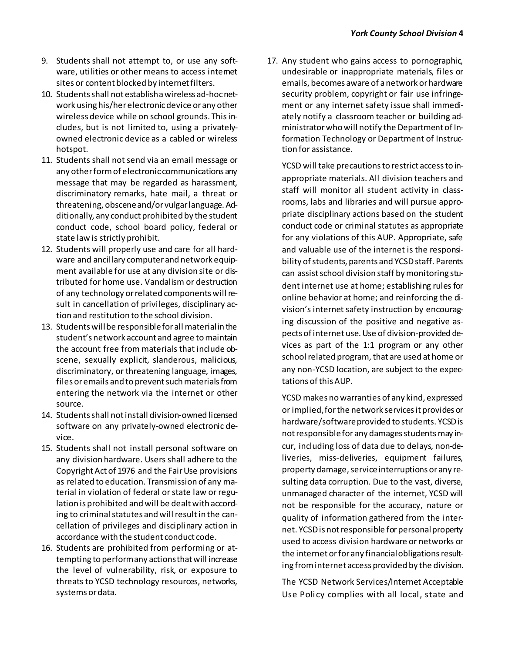- 9. Students shall not attempt to, or use any software, utilities or other means to access internet sites or content blocked by internet filters.
- 10. Students shall not establish a wireless ad-hoc network using his/her electronic device or any other wireless device while on school grounds. This includes, but is not limited to, using a privatelyowned electronic device as a cabled or wireless hotspot.
- 11. Students shall not send via an email message or any other form of electronic communications any message that may be regarded as harassment, discriminatory remarks, hate mail, a threat or threatening, obscene and/or vulgar language. Additionally, any conduct prohibited by the student conduct code, school board policy, federal or state law is strictly prohibit.
- 12. Students will properly use and care for all hardware and ancillary computer and network equipment available for use at any division site or distributed for home use. Vandalism or destruction of any technology or related components will result in cancellation of privileges, disciplinary action and restitution to the school division.
- 13. Students will be responsible for all material in the student's network account and agree to maintain the account free from materials that include obscene, sexually explicit, slanderous, malicious, discriminatory, or threatening language, images, files or emails and to prevent such materials from entering the network via the internet or other source.
- 14. Students shall not install division-owned licensed software on any privately-owned electronic device.
- 15. Students shall not install personal software on any division hardware. Users shall adhere to the Copyright Act of 1976 and the Fair Use provisions as related to education. Transmission of any material in violation of federal or state law or regulation is prohibited and will be dealt with according to criminal statutes and will result in the cancellation of privileges and disciplinary action in accordance with the student conduct code.
- 16. Students are prohibited from performing or attempting to perform any actions that will increase the level of vulnerability, risk, or exposure to threats to YCSD technology resources, networks, systems or data.

17. Any student who gains access to pornographic, undesirable or inappropriate materials, files or emails, becomes aware of a network or hardware security problem, copyright or fair use infringement or any internet safety issue shall immediately notify a classroom teacher or building administrator who will notify the Department of Information Technology or Department of Instruction for assistance.

YCSD will take precautions to restrict access to inappropriate materials. All division teachers and staff will monitor all student activity in classrooms, labs and libraries and will pursue appropriate disciplinary actions based on the student conduct code or criminal statutes as appropriate for any violations of this AUP. Appropriate, safe and valuable use of the internet is the responsibility of students, parents and YCSD staff. Parents can assist school division staff by monitoring student internet use at home; establishing rules for online behavior at home; and reinforcing the division's internet safety instruction by encouraging discussion of the positive and negative aspects of internet use. Use of division-provided devices as part of the 1:1 program or any other school related program, that are used at home or any non-YCSD location, are subject to the expectations of this AUP.

YCSD makes no warranties of any kind, expressed or implied, for the network services it provides or hardware/software provided to students. YCSD is not responsible for any damages students may incur, including loss of data due to delays, non-deliveries, miss-deliveries, equipment failures, property damage, service interruptions or any resulting data corruption. Due to the vast, diverse, unmanaged character of the internet, YCSD will not be responsible for the accuracy, nature or quality of information gathered from the internet. YCSD is not responsible for personal property used to access division hardware or networks or the internet or for any financial obligations resulting from internet access provided by the division.

The YCSD Network Services/Internet Acceptable Use Policy complies with all local, state and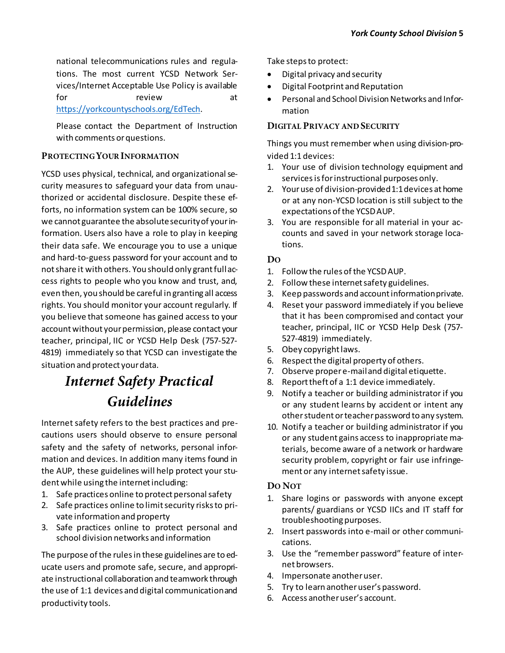national telecommunications rules and regulations. The most current YCSD Network Services/Internet Acceptable Use Policy is available for review at [https://yorkcountyschools.org/EdTech](https://nam02.safelinks.protection.outlook.com/?url=https%3A%2F%2Fyorkcountyschools.org%2FEdTech&data=04%7C01%7Ckcagle%40ycsd.york.va.us%7C371dca01a05b43ee7ce608d8f381a27f%7C1de098ab3c8744c6afb7f70c62c23c1c%7C0%7C0%7C637527085394468521%7CUnknown%7CTWFpbGZsb3d8eyJWIjoiMC4wLjAwMDAiLCJQIjoiV2luMzIiLCJBTiI6Ik1haWwiLCJXVCI6Mn0%3D%7C1000&sdata=YkQp%2Bt00%2Fzv%2FHEjtKaBQVNtfivYi20ItDuWrnkaTciw%3D&reserved=0).

Please contact the Department of Instruction with comments or questions.

#### <span id="page-7-0"></span>**PROTECTING YOUR INFORMATION**

YCSD uses physical, technical, and organizational security measures to safeguard your data from unauthorized or accidental disclosure. Despite these efforts, no information system can be 100% secure, so we cannot guarantee the absolute security of your information. Users also have a role to play in keeping their data safe. We encourage you to use a unique and hard-to-guess password for your account and to not share it with others. You should only grant full access rights to people who you know and trust, and, even then, you should be careful in granting all access rights. You should monitor your account regularly. If you believe that someone has gained access to your account without your permission, please contact your teacher, principal, IIC or YCSD Help Desk (757-527- 4819) immediately so that YCSD can investigate the situation and protect your data.

## <span id="page-7-1"></span>*Internet Safety Practical Guidelines*

Internet safety refers to the best practices and precautions users should observe to ensure personal safety and the safety of networks, personal information and devices. In addition many items found in the AUP, these guidelines will help protect your student while using the internet including:

- 1. Safe practices online to protect personal safety
- 2. Safe practices online to limit security risks to private information and property
- 3. Safe practices online to protect personal and school division networks and information

The purpose of the rules in these guidelines are to educate users and promote safe, secure, and appropriate instructional collaboration and teamwork through the use of 1:1 devices and digital communication and productivity tools.

Take steps to protect:

- Digital privacy and security
- Digital Footprint and Reputation
- Personal and School Division Networks and Information

#### <span id="page-7-2"></span>**DIGITAL PRIVACY AND SECURITY**

Things you must remember when using division-provided 1:1 devices:

- 1. Your use of division technology equipment and services is for instructional purposes only.
- 2. Youruse of division-provided 1:1 devices at home or at any non-YCSD location is still subject to the expectations of the YCSD AUP.
- 3. You are responsible for all material in your accounts and saved in your network storage locations.

#### <span id="page-7-3"></span>**DO**

- 1. Follow the rules of the YCSD AUP.
- 2. Follow these internet safety guidelines.
- 3. Keep passwords and account information private.
- 4. Reset your password immediately if you believe that it has been compromised and contact your teacher, principal, IIC or YCSD Help Desk (757- 527-4819) immediately.
- 5. Obey copyright laws.
- 6. Respect the digital property of others.
- 7. Observe proper e-mail and digital etiquette.
- 8. Report theft of a 1:1 device immediately.
- 9. Notify a teacher or building administrator if you or any student learns by accident or intent any other student or teacher password to any system.
- 10. Notify a teacher or building administrator if you or any student gains access to inappropriate materials, become aware of a network or hardware security problem, copyright or fair use infringement or any internet safety issue.

#### <span id="page-7-4"></span>**DO NOT**

- 1. Share logins or passwords with anyone except parents/ guardians or YCSD IICs and IT staff for troubleshooting purposes.
- 2. Insert passwords into e-mail or other communications.
- 3. Use the "remember password" feature of internet browsers.
- 4. Impersonate another user.
- 5. Try to learn another user's password.
- 6. Access another user's account.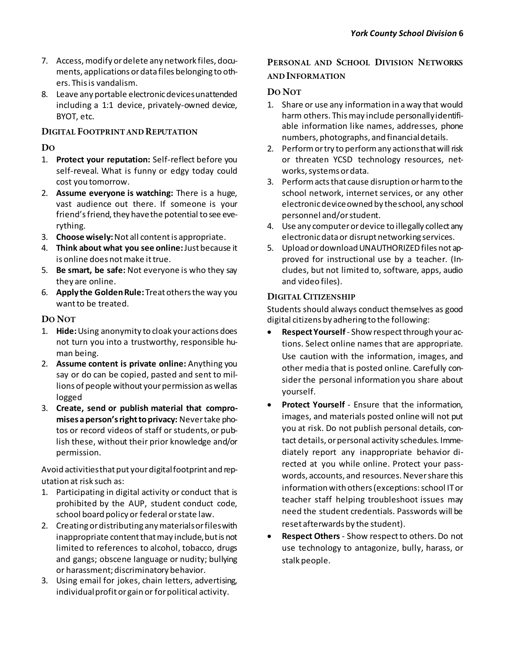- 7. Access, modify or delete any network files, documents, applications or data files belonging to others. This is vandalism.
- 8. Leave any portable electronic devices unattended including a 1:1 device, privately-owned device, BYOT, etc.

#### <span id="page-8-0"></span>**DIGITAL FOOTPRINT AND REPUTATION**

#### <span id="page-8-1"></span>**DO**

- 1. **Protect your reputation:** Self-reflect before you self-reveal. What is funny or edgy today could cost you tomorrow.
- 2. **Assume everyone is watching:** There is a huge, vast audience out there. If someone is your friend's friend, they have the potential to see everything.
- 3. **Choose wisely:**Not all content is appropriate.
- 4. **Think about what you see online:**Just because it is online does not make it true.
- 5. **Be smart, be safe:** Not everyone is who they say they are online.
- 6. **Apply the Golden Rule:** Treat others the way you want to be treated.

#### <span id="page-8-2"></span>**DO NOT**

- 1. **Hide:**Using anonymity to cloak your actions does not turn you into a trustworthy, responsible human being.
- 2. **Assume content is private online:** Anything you say or do can be copied, pasted and sent to millions of people without your permission as well as logged
- 3. **Create, send or publish material that compromises a person's right to privacy:** Never take photos or record videos of staff or students, or publish these, without their prior knowledge and/or permission.

Avoid activities that put your digital footprint and reputation at risk such as:

- 1. Participating in digital activity or conduct that is prohibited by the AUP, student conduct code, school board policy or federal or state law.
- 2. Creatingor distributing any materials or files with inappropriate content that may include, but is not limited to references to alcohol, tobacco, drugs and gangs; obscene language or nudity; bullying or harassment; discriminatory behavior.
- 3. Using email for jokes, chain letters, advertising, individual profit or gain or for political activity.

#### <span id="page-8-3"></span>**PERSONAL AND SCHOOL DIVISION NETWORKS AND INFORMATION**

#### <span id="page-8-4"></span>**DO NOT**

- 1. Share or use any information in a way that would harm others. This may include personally identifiable information like names, addresses, phone numbers, photographs, and financial details.
- 2. Performor try to perform any actions that will risk or threaten YCSD technology resources, networks, systems or data.
- 3. Performacts that cause disruption or harm to the school network, internet services, or any other electronic device owned by the school, any school personnel and/or student.
- 4. Use any computer or device to illegally collect any electronic data or disrupt networking services.
- 5. Upload or download UNAUTHORIZED files not approved for instructional use by a teacher. (Includes, but not limited to, software, apps, audio and video files).

#### <span id="page-8-5"></span>**DIGITAL CITIZENSHIP**

Students should always conduct themselves as good digital citizens by adhering to the following:

- **Respect Yourself**  Show respect through your actions. Select online names that are appropriate. Use caution with the information, images, and other media that is posted online. Carefully consider the personal information you share about yourself.
- **Protect Yourself**  Ensure that the information, images, and materials posted online will not put you at risk. Do not publish personal details, contact details, or personal activity schedules. Immediately report any inappropriate behavior directed at you while online. Protect your passwords, accounts, and resources. Never share this information with others (exceptions: school IT or teacher staff helping troubleshoot issues may need the student credentials. Passwords will be reset afterwards by the student).
- **Respect Others**  Show respect to others. Do not use technology to antagonize, bully, harass, or stalk people.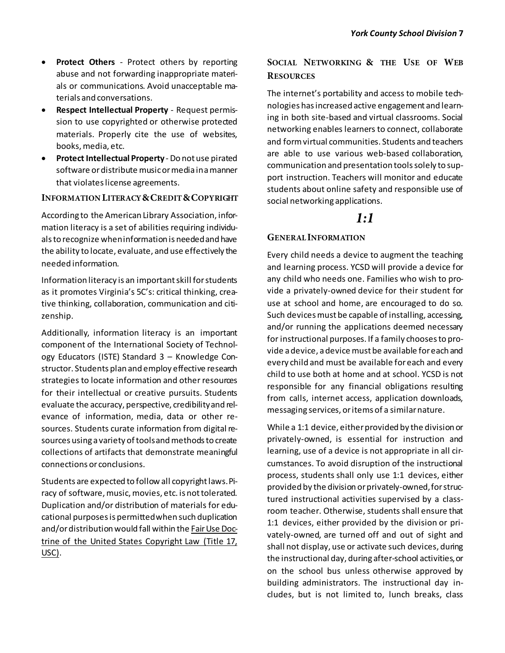- **Protect Others** Protect others by reporting abuse and not forwarding inappropriate materials or communications. Avoid unacceptable materials and conversations.
- **Respect Intellectual Property**  Request permission to use copyrighted or otherwise protected materials. Properly cite the use of websites, books, media, etc.
- **Protect Intellectual Property**  Do not use pirated software or distribute music or media in a manner that violates license agreements.

#### <span id="page-9-0"></span>**INFORMATION LITERACY & CREDIT & COPYRIGHT**

According to the American Library Association, information literacy is a set of abilities requiring individuals to recognize when information is needed and have the ability to locate, evaluate, and use effectively the needed information.

Information literacy is an important skill for students as it promotes Virginia's 5C's: critical thinking, creative thinking, collaboration, communication and citizenship.

Additionally, information literacy is an important component of the International Society of Technology Educators (ISTE) Standard 3 – Knowledge Constructor. Students plan and employ effective research strategies to locate information and other resources for their intellectual or creative pursuits. Students evaluate the accuracy, perspective, credibility and relevance of information, media, data or other resources. Students curate information from digital resources using a variety of tools and methods to create collections of artifacts that demonstrate meaningful connections or conclusions.

Students are expected to follow all copyright laws. Piracy of software, music, movies, etc. is not tolerated. Duplication and/or distribution of materials for educational purposes is permitted when such duplication and/or distribution would fall within th[e Fair Use Doc](https://www.copyright.gov/title17/)[trine of the United States Copyright Law \(Title 17,](https://www.copyright.gov/title17/)  [USC\).](https://www.copyright.gov/title17/)

#### <span id="page-9-1"></span>**SOCIAL NETWORKING & THE USE OF WEB RESOURCES**

The internet's portability and access to mobile technologies has increased active engagement and learning in both site-based and virtual classrooms. Social networking enables learners to connect, collaborate and form virtual communities. Students and teachers are able to use various web-based collaboration, communication and presentation tools solely to support instruction. Teachers will monitor and educate students about online safety and responsible use of social networking applications.

#### *1:1*

#### <span id="page-9-3"></span><span id="page-9-2"></span>**GENERAL INFORMATION**

Every child needs a device to augment the teaching and learning process. YCSD will provide a device for any child who needs one. Families who wish to provide a privately-owned device for their student for use at school and home, are encouraged to do so. Such devices must be capable of installing, accessing, and/or running the applications deemed necessary for instructional purposes. If a family chooses to provide a device, a device must be available for each and every child and must be available for each and every child to use both at home and at school. YCSD is not responsible for any financial obligations resulting from calls, internet access, application downloads, messaging services, or items of a similar nature.

While a 1:1 device, either provided by the division or privately-owned, is essential for instruction and learning, use of a device is not appropriate in all circumstances. To avoid disruption of the instructional process, students shall only use 1:1 devices, either provided by the division or privately-owned, forstructured instructional activities supervised by a classroom teacher. Otherwise, students shall ensure that 1:1 devices, either provided by the division or privately-owned, are turned off and out of sight and shall not display, use or activate such devices, during the instructional day, during after-school activities, or on the school bus unless otherwise approved by building administrators. The instructional day includes, but is not limited to, lunch breaks, class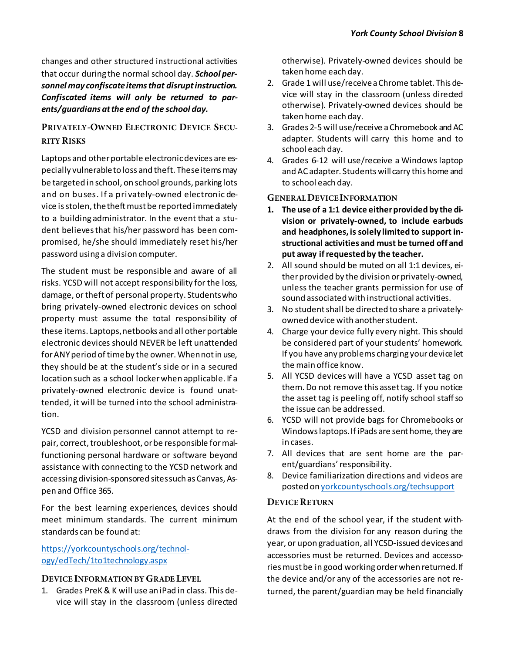changes and other structured instructional activities that occur during the normal school day. *School personnel may confiscate items that disrupt instruction. Confiscated items will only be returned to parents/guardians at the end of the school day.*

#### <span id="page-10-0"></span>**PRIVATELY-OWNED ELECTRONIC DEVICE SECU-RITY RISKS**

Laptops and other portable electronic devices are especially vulnerable to loss and theft. These items may be targeted in school, on school grounds, parking lots and on buses. If a privately-owned electronic device is stolen, the theft must be reported immediately to a building administrator. In the event that a student believes that his/her password has been compromised, he/she should immediately reset his/her password using a division computer.

The student must be responsible and aware of all risks. YCSD will not accept responsibility for the loss, damage, or theft of personal property. Students who bring privately-owned electronic devices on school property must assume the total responsibility of these items. Laptops, netbooks and all other portable electronic devices should NEVER be left unattended for ANY period of time by the owner. When not in use, they should be at the student's side or in a secured location such as a school locker when applicable. If a privately-owned electronic device is found unattended, it will be turned into the school administration.

YCSD and division personnel cannot attempt to repair, correct, troubleshoot, or be responsible for malfunctioning personal hardware or software beyond assistance with connecting to the YCSD network and accessing division-sponsored sites such as Canvas, Aspen and Office 365.

For the best learning experiences, devices should meet minimum standards. The current minimum standards can be found at:

[https://yorkcountyschools.org/technol](https://yorkcountyschools.org/technology/edTech/1to1technology.aspx)[ogy/edTech/1to1technology.aspx](https://yorkcountyschools.org/technology/edTech/1to1technology.aspx)

#### <span id="page-10-1"></span>**DEVICE INFORMATION BY GRADE LEVEL**

1. Grades PreK & K will use an iPad in class. This device will stay in the classroom (unless directed

otherwise). Privately-owned devices should be taken home each day.

- 2. Grade 1 will use/receive a Chrome tablet. This device will stay in the classroom (unless directed otherwise). Privately-owned devices should be taken home each day.
- 3. Grades 2-5 will use/receive a Chromebook and AC adapter. Students will carry this home and to school each day.
- 4. Grades 6-12 will use/receive a Windows laptop and AC adapter. Students will carry this home and to school each day.

#### <span id="page-10-2"></span>**GENERAL DEVICE INFORMATION**

- **1. The use of a 1:1 device either provided by the division or privately-owned, to include earbuds and headphones, is solely limited to support instructional activities and must be turned off and put away if requested by the teacher.**
- 2. All sound should be muted on all 1:1 devices, either provided by the division or privately-owned, unless the teacher grants permission for use of sound associated with instructional activities.
- 3. No student shall be directed to share a privatelyowned device with another student.
- 4. Charge your device fully every night. This should be considered part of your students' homework. If you have any problems charging your device let the main office know.
- 5. All YCSD devices will have a YCSD asset tag on them. Do not remove this asset tag. If you notice the asset tag is peeling off, notify school staff so the issue can be addressed.
- 6. YCSD will not provide bags for Chromebooks or Windows laptops. If iPads are sent home, they are in cases.
- 7. All devices that are sent home are the parent/guardians' responsibility.
- 8. Device familiarization directions and videos are posted o[n yorkcountyschools.org/techsupport](https://ycsd.yorkcountyschools.org/domain/1320)

#### <span id="page-10-3"></span>**DEVICE RETURN**

At the end of the school year, if the student withdraws from the division for any reason during the year, or upon graduation, all YCSD-issued devices and accessories must be returned. Devices and accessories must be in good working order when returned. If the device and/or any of the accessories are not returned, the parent/guardian may be held financially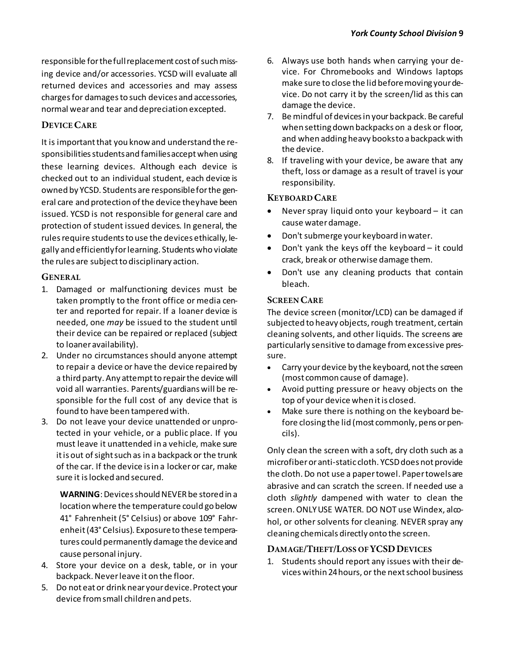responsible for the full replacement cost of such missing device and/or accessories. YCSD will evaluate all returned devices and accessories and may assess charges for damages to such devices and accessories, normal wear and tear and depreciation excepted.

#### <span id="page-11-0"></span>**DEVICE CARE**

It is important that you know and understand the responsibilities students and families accept when using these learning devices. Although each device is checked out to an individual student, each device is owned by YCSD. Students are responsible for the general care and protection of the device they have been issued. YCSD is not responsible for general care and protection of student issued devices. In general, the rules require students to use the devices ethically, legally and efficiently for learning. Students who violate the rules are subject to disciplinary action.

#### <span id="page-11-1"></span>**GENERAL**

- 1. Damaged or malfunctioning devices must be taken promptly to the front office or media center and reported for repair. If a loaner device is needed, one *may* be issued to the student until their device can be repaired or replaced (subject to loaner availability).
- 2. Under no circumstances should anyone attempt to repair a device or have the device repaired by a third party. Any attempt to repair the device will void all warranties. Parents/guardians will be responsible for the full cost of any device that is found to have been tampered with.
- 3. Do not leave your device unattended or unprotected in your vehicle, or a public place. If you must leave it unattended in a vehicle, make sure it is out of sight such as in a backpack or the trunk of the car. If the device is in a locker or car, make sure it is locked and secured.

**WARNING**: Devices should NEVER be stored in a location where the temperature could go below 41° Fahrenheit (5° Celsius) or above 109° Fahrenheit (43° Celsius). Exposure to these temperatures could permanently damage the device and cause personal injury.

- 4. Store your device on a desk, table, or in your backpack. Never leave it on the floor.
- 5. Do not eat or drink near your device.Protect your device from small children and pets.
- 6. Always use both hands when carrying your device. For Chromebooks and Windows laptops make sure to close the lid before moving your device. Do not carry it by the screen/lid as this can damage the device.
- 7. Be mindful of devices in your backpack. Be careful when setting down backpacks on a desk or floor, and when adding heavy books to a backpack with the device.
- 8. If traveling with your device, be aware that any theft, loss or damage as a result of travel is your responsibility*.*

#### <span id="page-11-2"></span>**KEYBOARD CARE**

- Never spray liquid onto your keyboard it can cause water damage.
- Don't submerge your keyboard in water.
- Don't yank the keys off the keyboard  $-$  it could crack, break or otherwise damage them.
- Don't use any cleaning products that contain bleach.

#### <span id="page-11-3"></span>**SCREEN CARE**

The device screen (monitor/LCD) can be damaged if subjected to heavy objects, rough treatment, certain cleaning solvents, and other liquids. The screens are particularly sensitive to damage from excessive pressure.

- Carry your device by the keyboard, not the screen (most common cause of damage).
- Avoid putting pressure or heavy objects on the top of your device when it is closed.
- Make sure there is nothing on the keyboard before closing the lid (most commonly, pens or pencils).

Only clean the screen with a soft, dry cloth such as a microfiber or anti-static cloth. YCSD does not provide the cloth.Do not use a paper towel. Paper towels are abrasive and can scratch the screen. If needed use a cloth *slightly* dampened with water to clean the screen.ONLY USE WATER. DO NOT use Windex, alcohol, or other solvents for cleaning. NEVER spray any cleaning chemicals directly onto the screen.

#### <span id="page-11-4"></span>**DAMAGE/THEFT/LOSS OF YCSDDEVICES**

1. Students should report any issues with their devices within 24 hours, or the next school business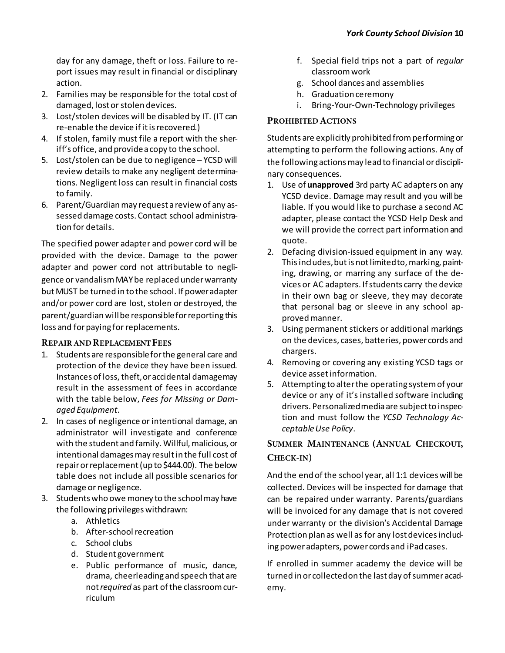day for any damage, theft or loss. Failure to report issues may result in financial or disciplinary action.

- 2. Families may be responsible for the total cost of damaged, lost or stolen devices.
- 3. Lost/stolen devices will be disabled by IT. (IT can re-enable the device if it is recovered.)
- 4. If stolen, family must file a report with the sheriff's office, and provide a copy to the school.
- 5. Lost/stolen can be due to negligence YCSD will review details to make any negligent determinations. Negligent loss can result in financial costs to family.
- 6. Parent/Guardian may request a review of any assessed damage costs. Contact school administration for details.

The specified power adapter and power cord will be provided with the device. Damage to the power adapter and power cord not attributable to negligence or vandalism MAY be replaced under warranty but MUST be turned in to the school. If power adapter and/or power cord are lost, stolen or destroyed, the parent/guardian will be responsible for reporting this loss and for paying for replacements.

#### <span id="page-12-0"></span>**REPAIR AND REPLACEMENT FEES**

- 1. Students are responsible for the general care and protection of the device they have been issued. Instances of loss, theft, or accidental damage may result in the assessment of fees in accordance with the table below, *Fees for Missing or Damaged Equipment*.
- 2. In cases of negligence or intentional damage, an administrator will investigate and conference with the student and family. Willful, malicious, or intentional damages may result in the full cost of repair or replacement (up to \$444.00). The below table does not include all possible scenarios for damage or negligence.
- 3. Students who owe money to the school may have the following privileges withdrawn:
	- a. Athletics
	- b. After-school recreation
	- c. School clubs
	- d. Student government
	- e. Public performance of music, dance, drama, cheerleading and speech that are not *required* as part of the classroom curriculum
- f. Special field trips not a part of *regular* classroom work
- g. School dances and assemblies
- h. Graduation ceremony
- i. Bring-Your-Own-Technology privileges

#### <span id="page-12-1"></span>**PROHIBITED ACTIONS**

Students are explicitly prohibited from performing or attempting to perform the following actions. Any of the following actions may lead to financial or disciplinary consequences.

- 1. Use of **unapproved** 3rd party AC adapters on any YCSD device. Damage may result and you will be liable. If you would like to purchase a second AC adapter, please contact the YCSD Help Desk and we will provide the correct part information and quote.
- 2. Defacing division-issued equipment in any way. Thisincludes, but is not limited to, marking, painting, drawing, or marring any surface of the devices or AC adapters. If students carry the device in their own bag or sleeve, they may decorate that personal bag or sleeve in any school approved manner.
- 3. Using permanent stickers or additional markings on the devices, cases, batteries, power cords and chargers.
- 4. Removing or covering any existing YCSD tags or device asset information.
- 5. Attempting to alter the operating system of your device or any of it's installed software including drivers. Personalized media are subject to inspection and must follow th*e YCSD Technology Acceptable Use Policy*.

#### <span id="page-12-2"></span>**SUMMER MAINTENANCE (ANNUAL CHECKOUT, CHECK-IN)**

And the end of the school year, all 1:1 devices will be collected. Devices will be inspected for damage that can be repaired under warranty. Parents/guardians will be invoiced for any damage that is not covered under warranty or the division's Accidental Damage Protection plan as well as for any lost devices including power adapters, power cords and iPad cases.

If enrolled in summer academy the device will be turned in or collected on the last day of summer academy.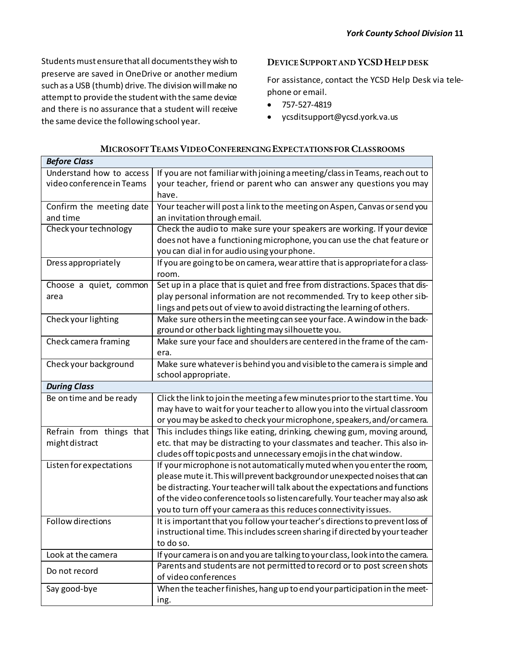Students must ensure that all documents they wish to preserve are saved in OneDrive or another medium such as a USB (thumb) drive. The division will make no attempt to provide the student with the same device and there is no assurance that a student will receive the same device the following school year.

#### <span id="page-13-0"></span>**DEVICE SUPPORT AND YCSDHELP DESK**

For assistance, contact the YCSD Help Desk via telephone or email.

- 757-527-4819
- ycsditsupport@ycsd.york.va.us

<span id="page-13-1"></span>

| <b>Before Class</b>                                   |                                                                                                                                                                                                                                                                                                                                                                                         |
|-------------------------------------------------------|-----------------------------------------------------------------------------------------------------------------------------------------------------------------------------------------------------------------------------------------------------------------------------------------------------------------------------------------------------------------------------------------|
| Understand how to access<br>video conference in Teams | If you are not familiar with joining a meeting/class in Teams, reach out to<br>your teacher, friend or parent who can answer any questions you may<br>have.                                                                                                                                                                                                                             |
| Confirm the meeting date                              | Your teacher will post a link to the meeting on Aspen, Canvas or send you                                                                                                                                                                                                                                                                                                               |
| and time                                              | an invitation through email.                                                                                                                                                                                                                                                                                                                                                            |
| Check your technology                                 | Check the audio to make sure your speakers are working. If your device<br>does not have a functioning microphone, you can use the chat feature or<br>you can dial in for audio using your phone.                                                                                                                                                                                        |
| Dress appropriately                                   | If you are going to be on camera, wear attire that is appropriate for a class-<br>room.                                                                                                                                                                                                                                                                                                 |
| Choose a quiet, common<br>area                        | Set up in a place that is quiet and free from distractions. Spaces that dis-<br>play personal information are not recommended. Try to keep other sib-<br>lings and pets out of view to avoid distracting the learning of others.                                                                                                                                                        |
| Check your lighting                                   | Make sure others in the meeting can see your face. A window in the back-<br>ground or other back lighting may silhouette you.                                                                                                                                                                                                                                                           |
| Check camera framing                                  | Make sure your face and shoulders are centered in the frame of the cam-<br>era.                                                                                                                                                                                                                                                                                                         |
| Check your background                                 | Make sure whatever is behind you and visible to the camera is simple and<br>school appropriate.                                                                                                                                                                                                                                                                                         |
| <b>During Class</b>                                   |                                                                                                                                                                                                                                                                                                                                                                                         |
| Be on time and be ready                               | Click the link to join the meeting a few minutes prior to the start time. You<br>may have to wait for your teacher to allow you into the virtual classroom<br>or you may be asked to check your microphone, speakers, and/or camera.                                                                                                                                                    |
| Refrain from things that                              | This includes things like eating, drinking, chewing gum, moving around,                                                                                                                                                                                                                                                                                                                 |
| might distract                                        | etc. that may be distracting to your classmates and teacher. This also in-<br>cludes off topic posts and unnecessary emojis in the chat window.                                                                                                                                                                                                                                         |
| Listen for expectations                               | If your microphone is not automatically muted when you enter the room,<br>please mute it. This will prevent background or unexpected noises that can<br>be distracting. Your teacher will talk about the expectations and functions<br>of the video conference tools so listen carefully. Your teacher may also ask<br>you to turn off your camera as this reduces connectivity issues. |
| Follow directions                                     | It is important that you follow your teacher's directions to prevent loss of                                                                                                                                                                                                                                                                                                            |
|                                                       | instructional time. This includes screen sharing if directed by your teacher<br>to do so.                                                                                                                                                                                                                                                                                               |
| Look at the camera                                    | If your camera is on and you are talking to your class, look into the camera.                                                                                                                                                                                                                                                                                                           |
| Do not record                                         | Parents and students are not permitted to record or to post screen shots<br>of video conferences<br>When the teacher finishes, hang up to end your participation in the meet-                                                                                                                                                                                                           |

#### **MICROSOFT TEAMS VIDEO CONFERENCING EXPECTATIONSFOR CLASSROOMS**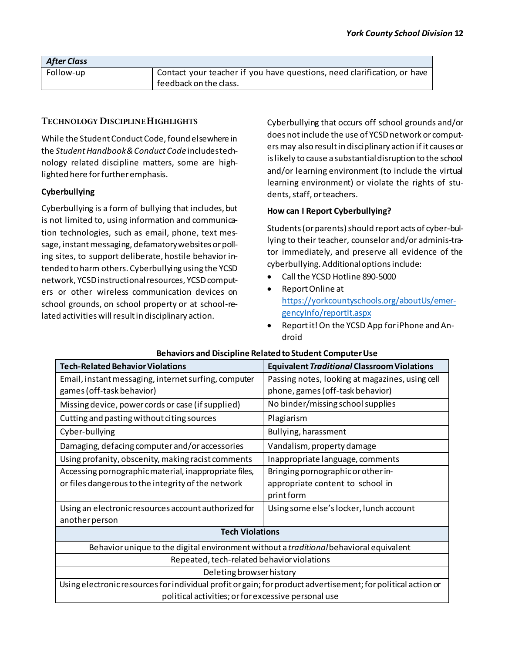| <b>After Class</b> |                                                                         |
|--------------------|-------------------------------------------------------------------------|
| Follow-up          | Contact your teacher if you have questions, need clarification, or have |
|                    | feedback on the class.                                                  |

#### <span id="page-14-0"></span>**TECHNOLOGY DISCIPLINEHIGHLIGHTS**

While the Student Conduct Code, found elsewhere in the *Student Handbook & Conduct Code* includes technology related discipline matters, some are highlighted here for further emphasis.

#### **Cyberbullying**

Cyberbullying is a form of bullying that includes, but is not limited to, using information and communication technologies, such as email, phone, text message, instant messaging, defamatory websites or polling sites, to support deliberate, hostile behavior intended to harm others. Cyberbullying using the YCSD network, YCSD instructional resources, YCSD computers or other wireless communication devices on school grounds, on school property or at school-related activities will result in disciplinary action.

Cyberbullying that occurs off school grounds and/or does not include the use of YCSD network or computersmay also result in disciplinary action if it causes or is likely to cause a substantial disruption to the school and/or learning environment (to include the virtual learning environment) or violate the rights of students, staff, or teachers.

#### **How can I Report Cyberbullying?**

Students (or parents) should report acts of cyber-bullying to their teacher, counselor and/or adminis-trator immediately, and preserve all evidence of the cyberbullying. Additional options include:

- Call the YCSD Hotline 890-5000
- Report Online at [https://yorkcountyschools.org/aboutUs/emer](https://yorkcountyschools.org/aboutUs/emergencyInfo/reportIt.aspx)[gencyInfo/reportIt.aspx](https://yorkcountyschools.org/aboutUs/emergencyInfo/reportIt.aspx)
- Report it! On the YCSD App for iPhone and Android

| <b>Tech-Related Behavior Violations</b>                                                                      | <b>Equivalent Traditional Classroom Violations</b> |  |  |
|--------------------------------------------------------------------------------------------------------------|----------------------------------------------------|--|--|
| Email, instant messaging, internet surfing, computer                                                         | Passing notes, looking at magazines, using cell    |  |  |
| games (off-task behavior)                                                                                    | phone, games (off-task behavior)                   |  |  |
| Missing device, power cords or case (if supplied)                                                            | No binder/missing school supplies                  |  |  |
| Cutting and pasting without citing sources                                                                   | Plagiarism                                         |  |  |
| Cyber-bullying                                                                                               | Bullying, harassment                               |  |  |
| Damaging, defacing computer and/or accessories                                                               | Vandalism, property damage                         |  |  |
| Using profanity, obscenity, making racist comments                                                           | Inappropriate language, comments                   |  |  |
| Accessing pornographic material, inappropriate files,                                                        | Bringing pornographic or other in-                 |  |  |
| or files dangerous to the integrity of the network                                                           | appropriate content to school in                   |  |  |
|                                                                                                              | print form                                         |  |  |
| Using an electronic resources account authorized for                                                         | Using some else's locker, lunch account            |  |  |
| another person                                                                                               |                                                    |  |  |
| <b>Tech Violations</b>                                                                                       |                                                    |  |  |
| Behavior unique to the digital environment without a <i>traditional</i> behavioral equivalent                |                                                    |  |  |
| Repeated, tech-related behavior violations                                                                   |                                                    |  |  |
| Deleting browser history                                                                                     |                                                    |  |  |
| Using electronic resources for individual profit or gain; for product advertisement; for political action or |                                                    |  |  |
| political activities; or for excessive personal use                                                          |                                                    |  |  |

#### **Behaviors and Discipline Related to Student Computer Use**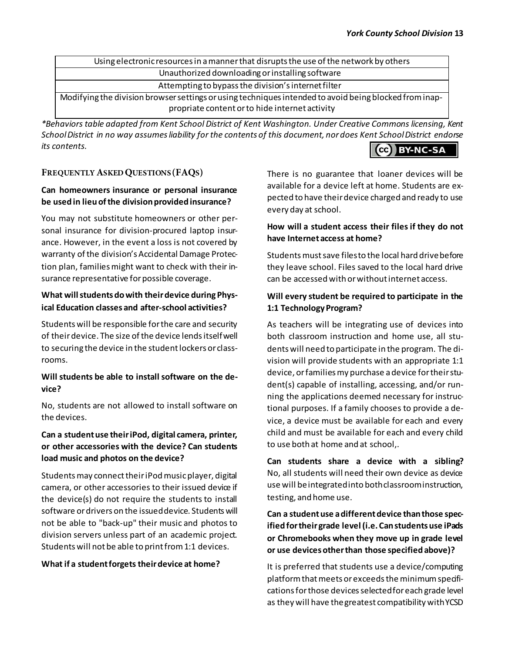| Using electronic resources in a manner that disrupts the use of the network by others                  |  |  |
|--------------------------------------------------------------------------------------------------------|--|--|
| Unauthorized downloading or installing software                                                        |  |  |
| Attempting to bypass the division's internet filter                                                    |  |  |
| Modifying the division browser settings or using techniques intended to avoid being blocked from inap- |  |  |
| propriate content or to hide internet activity                                                         |  |  |

*\*Behaviors table adapted from Kent School District of Kent Washington. Under Creative Commons licensing, Kent School District in no way assumes liability for the contents of this document, nor does Kent School District endorse its contents.* **CCC** BY-NC-SA

#### <span id="page-15-0"></span>**FREQUENTLY ASKED QUESTIONS (FAQS)**

#### **Can homeowners insurance or personal insurance be used in lieu of the divisionprovided insurance?**

You may not substitute homeowners or other personal insurance for division-procured laptop insurance. However, in the event a loss is not covered by warranty of the division's Accidental Damage Protection plan, families might want to check with their insurance representative for possible coverage.

#### **What will students do with their device during Physical Education classes and after-school activities?**

Students will be responsible for the care and security of their device. The size of the device lends itself well to securing the device in the student lockers or classrooms.

#### **Will students be able to install software on the device?**

No, students are not allowed to install software on the devices.

#### **Can a student use their iPod, digital camera, printer, or other accessories with the device? Can students load music and photos on the device?**

Students may connect their iPod music player, digital camera, or other accessories to their issued device if the device(s) do not require the students to install software or drivers on the issued device. Students will not be able to "back-up" their music and photos to division servers unless part of an academic project. Students will not be able to print from 1:1 devices.

#### **What if a student forgets their device at home?**

There is no guarantee that loaner devices will be available for a device left at home. Students are expected to have their device charged and ready to use every day at school.

#### **How will a student access their files if they do not have Internet access at home?**

Students must save files to the local hard drive before they leave school. Files saved to the local hard drive can be accessed with or without internet access.

#### **Will every student be required to participate in the 1:1 Technology Program?**

As teachers will be integrating use of devices into both classroom instruction and home use, all students will need to participate in the program. The division will provide students with an appropriate 1:1 device, or families my purchase a device for their student(s) capable of installing, accessing, and/or running the applications deemed necessary for instructional purposes. If a family chooses to provide a device, a device must be available for each and every child and must be available for each and every child to use both at home and at school,.

**Can students share a device with a sibling?** No, all students will need their own device as device use will be integrated into both classroom instruction, testing, and home use.

**Can a student use a different device than those specified for their grade level (i.e. Can students use iPads or Chromebooks when they move up in grade level or use devices other than those specified above)?**

It is preferred that students use a device/computing platform that meets or exceeds the minimum specifications for those devices selected for each grade level as they will have the greatest compatibility with YCSD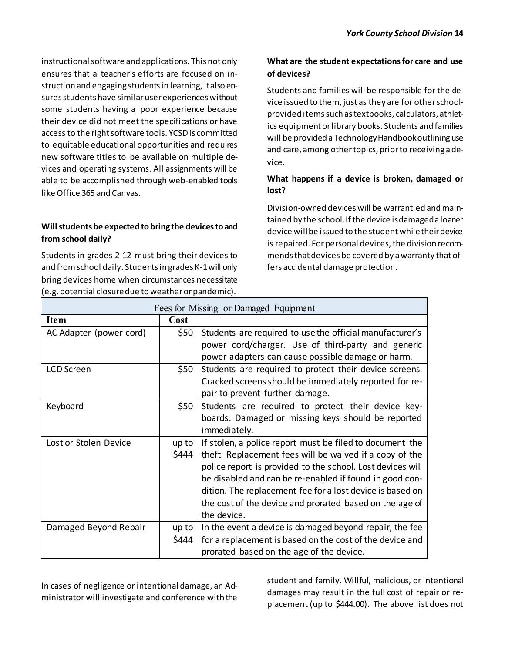instructional software and applications. This not only ensures that a teacher's efforts are focused on instruction and engaging students in learning, it also ensures students have similar user experiences without some students having a poor experience because their device did not meet the specifications or have access to the right software tools. YCSD is committed to equitable educational opportunities and requires new software titles to be available on multiple devices and operating systems. All assignments will be able to be accomplished through web-enabled tools like Office 365 and Canvas.

#### **Will students be expected to bring the devices to and from school daily?**

Students in grades 2-12 must bring their devices to and from school daily. Students in grades K-1 will only bring devices home when circumstances necessitate (e.g. potential closure due to weatheror pandemic).

#### **What are the student expectations for care and use of devices?**

Students and families will be responsible for the device issued to them, just as they are for other schoolprovided items such as textbooks, calculators, athletics equipment or library books. Students and families will be provided a Technology Handbook outlining use and care, among other topics, prior to receiving a device.

#### **What happens if a device is broken, damaged or lost?**

Division-owned devices will be warrantied and maintained by the school. If the device is damaged a loaner device will be issued to the student while their device is repaired. For personal devices, the division recommends that devices be covered by a warranty that offers accidental damage protection.

| Fees for Missing or Damaged Equipment |                |                                                                                                                                                                                                                                                                                                                                                                                     |  |
|---------------------------------------|----------------|-------------------------------------------------------------------------------------------------------------------------------------------------------------------------------------------------------------------------------------------------------------------------------------------------------------------------------------------------------------------------------------|--|
| <b>Item</b>                           | Cost           |                                                                                                                                                                                                                                                                                                                                                                                     |  |
| AC Adapter (power cord)               | \$50           | Students are required to use the official manufacturer's<br>power cord/charger. Use of third-party and generic<br>power adapters can cause possible damage or harm.                                                                                                                                                                                                                 |  |
| <b>LCD Screen</b>                     | \$50           | Students are required to protect their device screens.<br>Cracked screens should be immediately reported for re-<br>pair to prevent further damage.                                                                                                                                                                                                                                 |  |
| Keyboard                              | \$50           | Students are required to protect their device key-<br>boards. Damaged or missing keys should be reported<br>immediately.                                                                                                                                                                                                                                                            |  |
| Lost or Stolen Device                 | up to<br>\$444 | If stolen, a police report must be filed to document the<br>theft. Replacement fees will be waived if a copy of the<br>police report is provided to the school. Lost devices will<br>be disabled and can be re-enabled if found in good con-<br>dition. The replacement fee for a lost device is based on<br>the cost of the device and prorated based on the age of<br>the device. |  |
| Damaged Beyond Repair                 | up to<br>\$444 | In the event a device is damaged beyond repair, the fee<br>for a replacement is based on the cost of the device and<br>prorated based on the age of the device.                                                                                                                                                                                                                     |  |

In cases of negligence or intentional damage, an Administrator will investigate and conference with the student and family. Willful, malicious, or intentional damages may result in the full cost of repair or replacement (up to \$444.00). The above list does not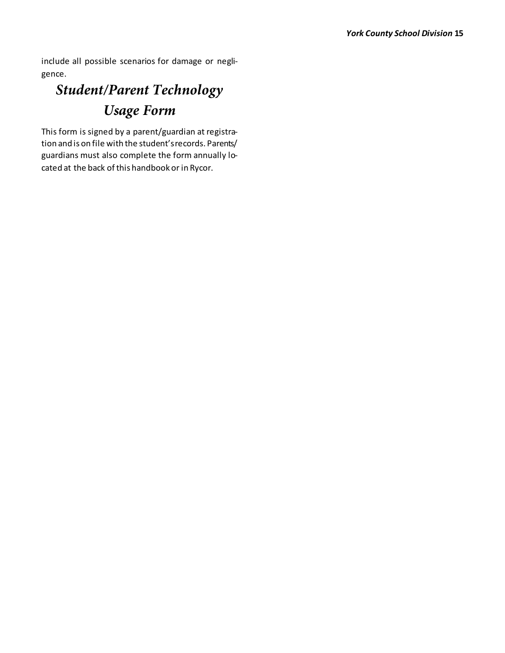include all possible scenarios for damage or negligence.

## <span id="page-17-0"></span>*Student/Parent Technology Usage Form*

This form is signed by a parent/guardian at registration and is on file with the student's records. Parents/ guardians must also complete the form annually located at the back of this handbook or in Rycor.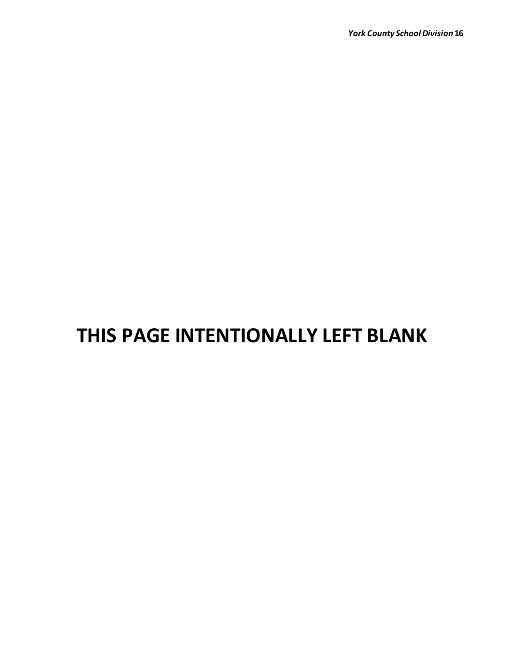# **THIS PAGE INTENTIONALLY LEFT BLANK**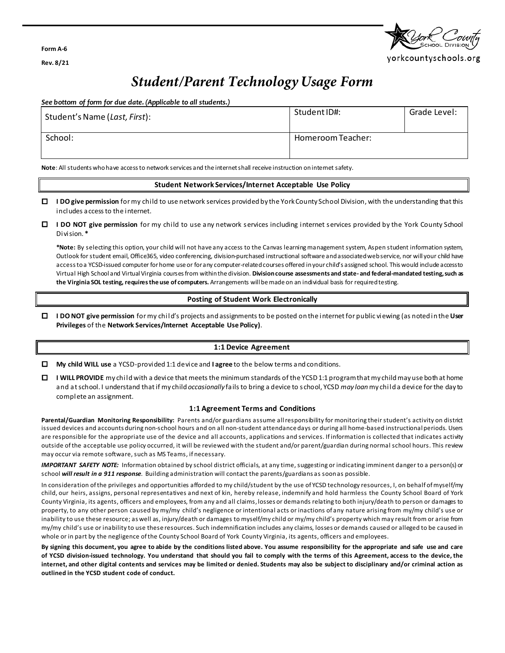**Form A-6**

<span id="page-19-0"></span>**Rev. 8/21**



### *Student/Parent Technology Usage Form*

*See bottom of form for due date.(Applicable to all students.)*

| Student's Name (Last, First): | Student ID#:      | Grade Level: |
|-------------------------------|-------------------|--------------|
| School:                       | Homeroom Teacher: |              |

**Note**: All students who have access to network services and the internet shall receive instruction on internet safety.

#### **Student Network Services/Internet Acceptable Use Policy**

- **I DO give permission** for my child to use network services provided by the York County School Division, with the understanding that this includes access to the internet.
- **I DO NOT give permission** for my child to use any network services including internet services provided by the York County School Division. **\***

**\*Note:** By selecting this option, your child will not have any access to the Canvas learning management system, Aspen student information system, Outlook for student email, Office365, video conferencing, division-purchased instructional software and associated web service, nor will your child have access to a YCSD-issued computer for home use or for any computer-related courses offered in your child's assigned school. This would include access to Virtual High School and Virtual Virginia courses from within the division. **Division course assessments and state- and federal-mandated testing, such as the Virginia SOL testing, requires the use of computers.** Arrangements will be made on an individual basis for required testing.

#### **Posting of Student Work Electronically**

 **I DO NOT give permission** for my child's projects and assignments to be posted on the internet for public viewing (as noted in the **User Privileges** of the **Network Services/Internet Acceptable Use Policy)**.

#### **1:1 Device Agreement**

**My child WILL use** a YCSD-provided 1:1 device and **I agree** to the below terms and conditions.

**I** I WILL PROVIDE my child with a device that meets the minimum standards of the YCSD 1:1 program that my child may use both at home and at school. I understand that if my child *occasionally* fails to bring a device to school, YCSD *may loan*my child a device for the day to complete an assignment.

#### **1:1 Agreement Terms and Conditions**

**Parental/Guardian Monitoring Responsibility:** Parents and/or guardians assume all responsibility for monitoring their student's activity on district issued devices and accounts during non-school hours and on all non-student attendance days or during all home-based instructional periods. Users are responsible for the appropriate use of the device and all accounts, applications and services. If information is collected that indicates activity outside of the acceptable use policy occurred, it will be reviewed with the student and/or parent/guardian during normal school hours. This review may occur via remote software, such as MS Teams, if necessary.

*IMPORTANT SAFETY NOTE:* Information obtained by school district officials, at any time, suggesting or indicating imminent danger to a person(s) or school *will result in a 911 response*. Building administration will contact the parents/guardians as soon as possible.

In consideration of the privileges and opportunities afforded to my child/student by the use of YCSD technology resources, I, on behalf of myself/my child, our heirs, assigns, personal representatives and next of kin, hereby release, indemnify and hold harmless the County School Board of York County Virginia, its agents, officers and employees, from any and all claims, losses or demands relating to both injury/death to person or damages to property, to any other person caused by my/my child's negligence or intentional acts or inactions of any nature arising from my/my child's use or inability to use these resource; as well as, injury/death or damages to myself/my child or my/my child's property which may result from or arise from my/my child's use or inability to use these resources. Such indemnification includes any claims, losses or demands caused or alleged to be caused in whole or in part by the negligence of the County School Board of York County Virginia, its agents, officers and employees.

**By signing this document, you agree to abide by the conditions listed above. You assume responsibility for the appropriate and safe use and care of YCSD division-issued technology. You understand that should you fail to comply with the terms of this Agreement, access to the device, the internet, and other digital contents and services may be limited or denied. Students may also be subject to disciplinary and/or criminal action as outlined in the YCSD student code of conduct.**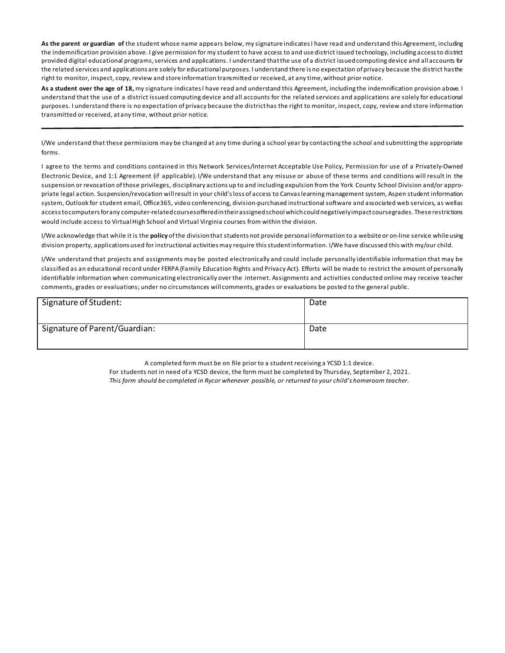**As the parent or guardian of** the student whose name appears below, my signature indicates I have read and understand this Agreement, including the indemnification provision above. I give permission for my student to have access to and use district issued technology, including access to district provided digital educational programs, services and applications. I understand that the use of a district issued computing device and all accounts for the related services and applications are solely for educational purposes. I understand there is no expectation of privacy because the district has the right to monitor, inspect, copy, review and store information transmitted or received, at any time, without prior notice.

**As a student over the age of 18,** my signature indicates I have read and understand this Agreement, including the indemnification provision above. I understand that the use of a district issued computing device and all accounts for the related services and applications are solely for educational purposes. I understand there is no expectation of privacy because the district has the right to monitor, inspect, copy, review and store information transmitted or received, at any time, without prior notice.

I/We understand that these permissions may be changed at any time during a school year by contacting the school and submitting the appropriate forms.

I agree to the terms and conditions contained in this Network Services/Internet Acceptable Use Policy, Permission for use of a Privately-Owned Electronic Device, and 1:1 Agreement (if applicable). I/We understand that any misuse or abuse of these terms and conditions will result in the suspension or revocation of those privileges, disciplinary actions up to and including expulsion from the York County School Division and/or appropriate legal action. Suspension/revocation will result in your child's loss of access to Canvas learning management system, Aspen student information system, Outlook for student email, Office365, video conferencing, division-purchased instructional software and associated web services, as wellas access to computers for any computer-related courses offered in their assigned school which could negatively impact course grades. These restrictions would include access to Virtual High School and Virtual Virginia courses from within the division.

I/We acknowledge that while it is the **policy** of the division that students not provide personal information to a website or on-line service while using division property, applications used for instructional activities may require this student information. I/We have discussed this with my/our child.

I/We understand that projects and assignments may be posted electronically and could include personally identifiable information that may be classified as an educational record under FERPA (Family Education Rights and Privacy Act). Efforts will be made to restrict the amount of personally identifiable information when communicating electronically over the internet. Assignments and activities conducted online may receive teacher comments, grades or evaluations; under no circumstances will comments, grades or evaluations be posted to the general public.

| Signature of Student:         | Date |
|-------------------------------|------|
| Signature of Parent/Guardian: | Date |

A completed form must be on file prior to a student receiving a YCSD 1:1 device. For students not in need of a YCSD device, the form must be completed by Thursday, September 2, 2021. *This form should be completed in Rycor whenever possible, or returned to your child's homeroom teacher.*